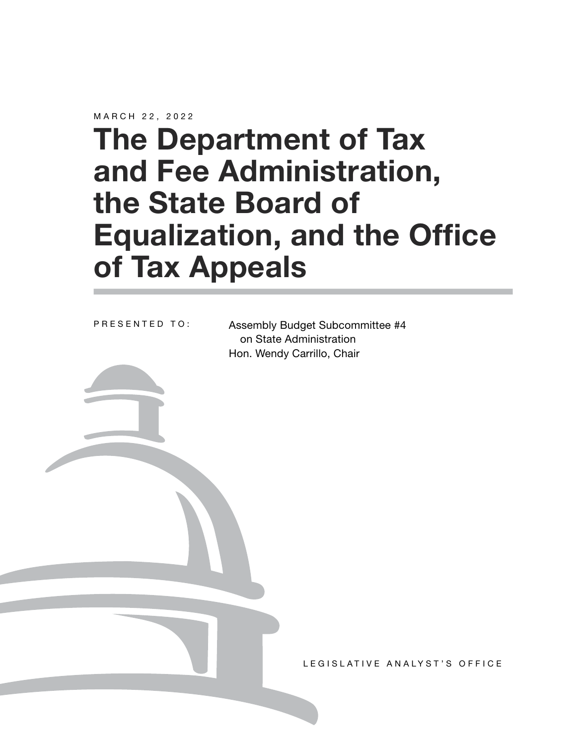MARCH 22, 2022

# **The Department of Tax and Fee Administration, the State Board of Equalization, and the Office of Tax Appeals**

PRESENTED TO:

Assembly Budget Subcommittee #4 on State Administration Hon. Wendy Carrillo, Chair

LEGISLATIVE ANALYST'S OFFICE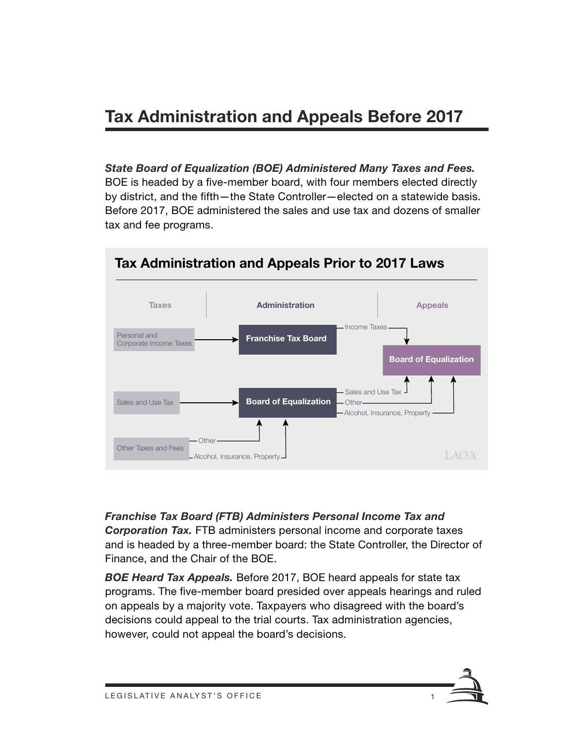## **Tax Administration and Appeals Before 2017**

*State Board of Equalization (BOE) Administered Many Taxes and Fees.*  BOE is headed by a five-member board, with four members elected directly by district, and the fifth—the State Controller—elected on a statewide basis. Before 2017, BOE administered the sales and use tax and dozens of smaller tax and fee programs.



*Franchise Tax Board (FTB) Administers Personal Income Tax and Corporation Tax.* FTB administers personal income and corporate taxes and is headed by a three‑member board: the State Controller, the Director of Finance, and the Chair of the BOE.

*BOE Heard Tax Appeals.* Before 2017, BOE heard appeals for state tax programs. The five‑member board presided over appeals hearings and ruled on appeals by a majority vote. Taxpayers who disagreed with the board's decisions could appeal to the trial courts. Tax administration agencies, however, could not appeal the board's decisions.

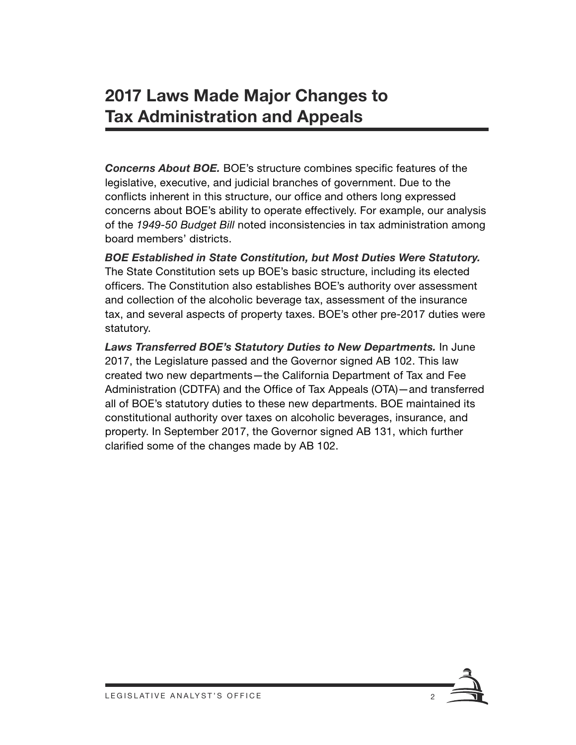## **2017 Laws Made Major Changes to Tax Administration and Appeals**

*Concerns About BOE.* BOE's structure combines specific features of the legislative, executive, and judicial branches of government. Due to the conflicts inherent in this structure, our office and others long expressed concerns about BOE's ability to operate effectively. For example, our analysis of the *1949‑50 Budget Bill* noted inconsistencies in tax administration among board members' districts.

*BOE Established in State Constitution, but Most Duties Were Statutory.*  The State Constitution sets up BOE's basic structure, including its elected officers. The Constitution also establishes BOE's authority over assessment and collection of the alcoholic beverage tax, assessment of the insurance tax, and several aspects of property taxes. BOE's other pre-2017 duties were statutory.

*Laws Transferred BOE's Statutory Duties to New Departments.* In June 2017, the Legislature passed and the Governor signed AB 102. This law created two new departments—the California Department of Tax and Fee Administration (CDTFA) and the Office of Tax Appeals (OTA)—and transferred all of BOE's statutory duties to these new departments. BOE maintained its constitutional authority over taxes on alcoholic beverages, insurance, and property. In September 2017, the Governor signed AB 131, which further clarified some of the changes made by AB 102.

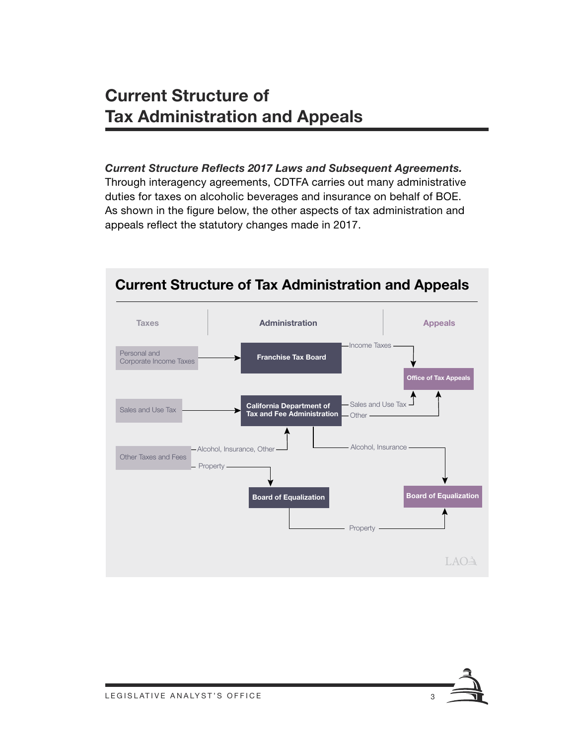## **Current Structure of Tax Administration and Appeals**

#### *Current Structure Reflects 2017 Laws and Subsequent Agreements.*

Through interagency agreements, CDTFA carries out many administrative duties for taxes on alcoholic beverages and insurance on behalf of BOE. As shown in the figure below, the other aspects of tax administration and appeals reflect the statutory changes made in 2017.



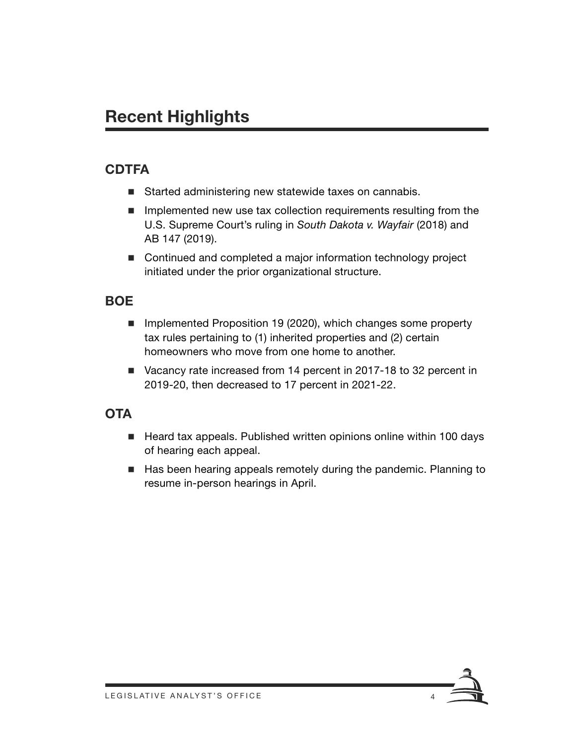# **Recent Highlights**

## **CDTFA**

- Started administering new statewide taxes on cannabis.
- $\blacksquare$  Implemented new use tax collection requirements resulting from the U.S. Supreme Court's ruling in *South Dakota v. Wayfair* (2018) and AB 147 (2019).
- Continued and completed a major information technology project initiated under the prior organizational structure.

#### **BOE**

- **IMPLEMENTED PROPOSITION 19 (2020), which changes some property** tax rules pertaining to (1) inherited properties and (2) certain homeowners who move from one home to another.
- Vacancy rate increased from 14 percent in 2017-18 to 32 percent in 2019-20, then decreased to 17 percent in 2021-22.

### **OTA**

- Heard tax appeals. Published written opinions online within 100 days of hearing each appeal.
- Has been hearing appeals remotely during the pandemic. Planning to resume in-person hearings in April.